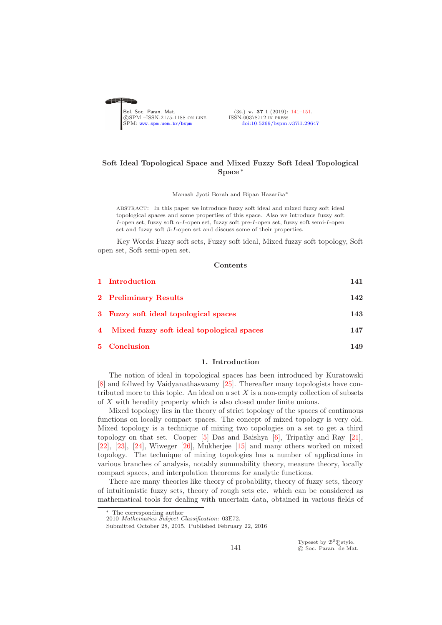<span id="page-0-0"></span>

(3s.) v. 37 1 (2019): [141](#page-0-0)-151.<br>ISSN-00378712 IN PRESS [doi:10.5269/bspm.v37i1.29647](http://dx.doi.org/10.5269/bspm.v37i1.29647)

# Soft Ideal Topological Space and Mixed Fuzzy Soft Ideal Topological Space <sup>∗</sup>

Manash Jyoti Borah and Bipan Hazarika<sup>∗</sup>

abstract: In this paper we introduce fuzzy soft ideal and mixed fuzzy soft ideal topological spaces and some properties of this space. Also we introduce fuzzy soft I-open set, fuzzy soft α-I-open set, fuzzy soft pre-I-open set, fuzzy soft semi-I-open set and fuzzy soft  $\beta$ -*I*-open set and discuss some of their properties.

Key Words: Fuzzy soft sets, Fuzzy soft ideal, Mixed fuzzy soft topology, Soft open set, Soft semi-open set.

## Contents

| 1 Introduction                              | 141 |
|---------------------------------------------|-----|
| 2 Preliminary Results                       | 142 |
| 3 Fuzzy soft ideal topological spaces       | 143 |
| 4 Mixed fuzzy soft ideal topological spaces | 147 |
| 5 Conclusion                                | 149 |

#### 1. Introduction

<span id="page-0-1"></span>The notion of ideal in topological spaces has been introduced by Kuratowski [\[8\]](#page-9-0) and follwed by Vaidyanathaswamy [\[25\]](#page-9-1). Thereafter many topologists have contributed more to this topic. An ideal on a set  $X$  is a non-empty collection of subsets of X with heredity property which is also closed under finite unions.

Mixed topology lies in the theory of strict topology of the spaces of continuous functions on locally compact spaces. The concept of mixed topology is very old. Mixed topology is a technique of mixing two topologies on a set to get a third topology on that set. Cooper  $[5]$  Das and Baishya  $[6]$ , Tripathy and Ray  $[21]$ , [\[22\]](#page-9-5), [\[23\]](#page-9-6), [\[24\]](#page-9-7), Wiweger [\[26\]](#page-9-8), Mukherjee [\[15\]](#page-9-9) and many others worked on mixed topology. The technique of mixing topologies has a number of applications in various branches of analysis, notably summability theory, measure theory, locally compact spaces, and interpolation theorems for analytic functions.

There are many theories like theory of probability, theory of fuzzy sets, theory of intuitionistic fuzzy sets, theory of rough sets etc. which can be considered as mathematical tools for dealing with uncertain data, obtained in various fields of

Typeset by  $\mathcal{B}^{\mathcal{S}}_{\mathcal{M}}$ style.<br>© Soc. Paran. de Mat.

The corresponding author

<sup>2010</sup> *Mathematics Subject Classification:* 03E72.

Submitted October 28, 2015. Published February 22, 2016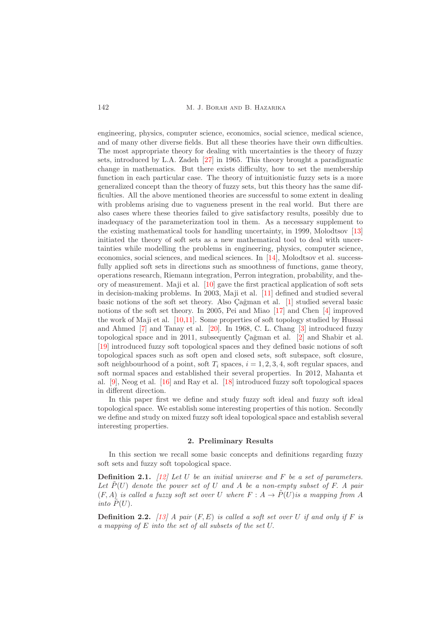142 M. J. Borah and B. Hazarika

engineering, physics, computer science, economics, social science, medical science, and of many other diverse fields. But all these theories have their own difficulties. The most appropriate theory for dealing with uncertainties is the theory of fuzzy sets, introduced by L.A. Zadeh [\[27\]](#page-9-10) in 1965. This theory brought a paradigmatic change in mathematics. But there exists difficulty, how to set the membership function in each particular case. The theory of intuitionistic fuzzy sets is a more generalized concept than the theory of fuzzy sets, but this theory has the same difficulties. All the above mentioned theories are successful to some extent in dealing with problems arising due to vagueness present in the real world. But there are also cases where these theories failed to give satisfactory results, possibly due to inadequacy of the parameterization tool in them. As a necessary supplement to the existing mathematical tools for handling uncertainty, in 1999, Molodtsov [\[13\]](#page-9-11) initiated the theory of soft sets as a new mathematical tool to deal with uncertainties while modelling the problems in engineering, physics, computer science, economics, social sciences, and medical sciences. In [\[14\]](#page-9-12), Molodtsov et al. successfully applied soft sets in directions such as smoothness of functions, game theory, operations research, Riemann integration, Perron integration, probability, and theory of measurement. Maji et al. [\[10\]](#page-9-13) gave the first practical application of soft sets in decision-making problems. In 2003, Maji et al. [\[11\]](#page-9-14) defined and studied several basic notions of the soft set theory. Also Cağman et al. [\[1\]](#page-8-2) studied several basic notions of the soft set theory. In 2005, Pei and Miao [\[17\]](#page-9-15) and Chen [\[4\]](#page-8-3) improved the work of Maji et al. [\[10](#page-9-13)[,11\]](#page-9-14). Some properties of soft topology studied by Hussai and Ahmed [\[7\]](#page-9-16) and Tanay et al. [\[20\]](#page-9-17). In 1968, C. L. Chang [\[3\]](#page-8-4) introduced fuzzy topological space and in 2011, subsequently  $\operatorname{CaZ}_2^{\text{N}}$  and Shabir et al. [\[19\]](#page-9-18) introduced fuzzy soft topological spaces and they defined basic notions of soft topological spaces such as soft open and closed sets, soft subspace, soft closure, soft neighbourhood of a point, soft  $T_i$  spaces,  $i = 1, 2, 3, 4$ , soft regular spaces, and soft normal spaces and established their several properties. In 2012, Mahanta et al. [\[9\]](#page-9-19), Neog et al. [\[16\]](#page-9-20) and Ray et al. [\[18\]](#page-9-21) introduced fuzzy soft topological spaces in different direction.

In this paper first we define and study fuzzy soft ideal and fuzzy soft ideal topological space. We establish some interesting properties of this notion. Secondly we define and study on mixed fuzzy soft ideal topological space and establish several interesting properties.

#### 2. Preliminary Results

<span id="page-1-0"></span>In this section we recall some basic concepts and definitions regarding fuzzy soft sets and fuzzy soft topological space.

**Definition 2.1.** [\[12\]](#page-9-22) Let U be an initial universe and F be a set of parameters. Let  $\tilde{P}(U)$  denote the power set of U and A be a non-empty subset of F. A pair  $(F, A)$  is called a fuzzy soft set over U where  $F : A \to \tilde{P}(U)$  is a mapping from A into  $\tilde{P}(U)$ .

**Definition 2.2.** [\[13\]](#page-9-11) A pair  $(F, E)$  is called a soft set over U if and only if F is a mapping of E into the set of all subsets of the set U.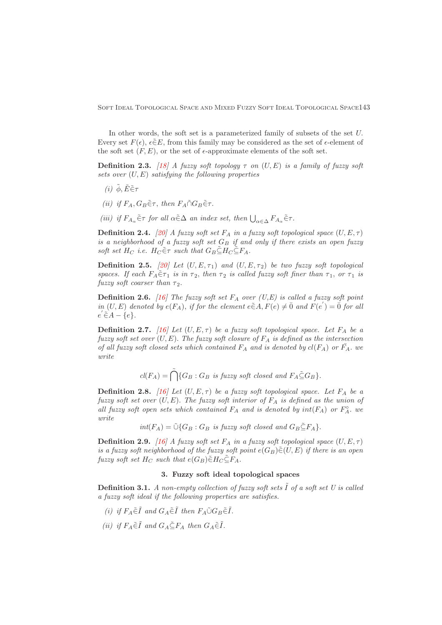In other words, the soft set is a parameterized family of subsets of the set U. Every set  $F(\epsilon)$ ,  $\epsilon \in E$ , from this family may be considered as the set of  $\epsilon$ -element of the soft set  $(F, E)$ , or the set of  $\epsilon$ -approximate elements of the soft set.

**Definition 2.3.** [\[18\]](#page-9-21) A fuzzy soft topology  $\tau$  on  $(U, E)$  is a family of fuzzy soft sets over  $(U, E)$  satisfying the following properties

- (i)  $\tilde{\phi}, \tilde{E} \tilde{\in} \tau$
- (ii) if  $F_A$ ,  $G_B \tilde{\in} \tau$ , then  $F_A \tilde{\cap} G_B \tilde{\in} \tau$ .
- (iii) if  $F_{A_\alpha} \tilde{\in} \tau$  for all  $\alpha \tilde{\in} \Delta$  an index set, then  $\bigcup_{\alpha \in \Delta} F_{A_\alpha} \tilde{\in} \tau$ .

**Definition 2.4.** [\[20\]](#page-9-17) A fuzzy soft set  $F_A$  in a fuzzy soft topological space  $(U, E, \tau)$ is a neighborhood of a fuzzy soft set  $G_B$  if and only if there exists an open fuzzy soft set  $H_C$  i.e.  $H_C \tilde{\in} \tau$  such that  $G_B \tilde{\subseteq} H_C \tilde{\subseteq} F_A$ .

**Definition 2.5.** [\[20\]](#page-9-17) Let  $(U, E, \tau_1)$  and  $(U, E, \tau_2)$  be two fuzzy soft topological spaces. If each  $F_A \tilde{\in} \tau_1$  is in  $\tau_2$ , then  $\tau_2$  is called fuzzy soft finer than  $\tau_1$ , or  $\tau_1$  is fuzzy soft coarser than  $\tau_2$ .

**Definition 2.6.** [\[16\]](#page-9-20) The fuzzy soft set  $F_A$  over (U,E) is called a fuzzy soft point in  $(U, E)$  denoted by  $e(F_A)$ , if for the element  $e \in A$ ,  $F(e) \neq \overline{0}$  and  $F(e') = \overline{0}$  for all  $e\in A-\{e\}.$ 

**Definition 2.7.** [\[16\]](#page-9-20) Let  $(U, E, \tau)$  be a fuzzy soft topological space. Let  $F_A$  be a fuzzy soft set over  $(U, E)$ . The fuzzy soft closure of  $F_A$  is defined as the intersection of all fuzzy soft closed sets which contained  $F_A$  and is denoted by  $cl(F_A)$  or  $\overline{F}_A$ . we write

$$
cl(F_A) = \bigcap_{i=1}^{n} \{G_B : G_B \text{ is fuzzy soft closed and } F_A \subseteq G_B \}.
$$

**Definition 2.8.** [\[16\]](#page-9-20) Let  $(U, E, \tau)$  be a fuzzy soft topological space. Let  $F_A$  be a fuzzy soft set over  $(U, E)$ . The fuzzy soft interior of  $F_A$  is defined as the union of all fuzzy soft open sets which contained  $F_A$  and is denoted by  $int(F_A)$  or  $F_A^{\circ}$ , we write

 $int(F_A) = \tilde{\cup} \{G_B : G_B \text{ is fuzzy soft closed and } G_B \tilde{\subseteq} F_A \}.$ 

**Definition 2.9.** [\[16\]](#page-9-20) A fuzzy soft set  $F_A$  in a fuzzy soft topological space  $(U, E, \tau)$ is a fuzzy soft neighborhood of the fuzzy soft point  $e(G_B) \widetilde{\in} (U, E)$  if there is an open fuzzy soft set  $H_C$  such that  $e(G_B) \tilde{\in} H_C \tilde{\subseteq} F_A$ .

### 3. Fuzzy soft ideal topological spaces

<span id="page-2-0"></span>**Definition 3.1.** A non-empty collection of fuzzy soft sets  $\tilde{I}$  of a soft set U is called a fuzzy soft ideal if the following properties are satisfies.

- (i) if  $F_A \tilde{\in} \tilde{I}$  and  $G_A \tilde{\in} \tilde{I}$  then  $F_A \tilde{\cup} G_B \tilde{\in} \tilde{I}$ .
- (ii) if  $F_A \tilde{\in} \tilde{I}$  and  $G_A \tilde{\in} F_A$  then  $G_A \tilde{\in} \tilde{I}$ .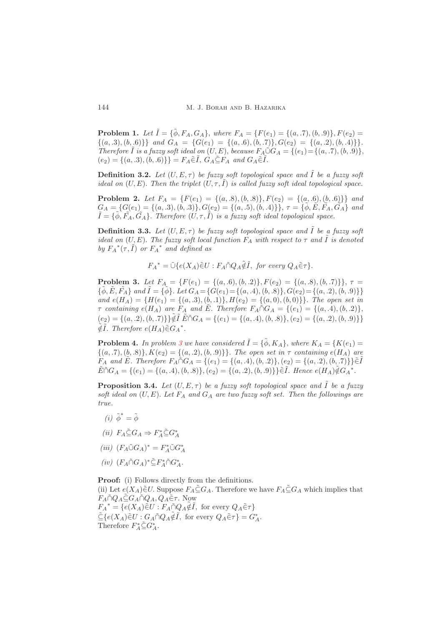**Problem 1.** Let  $\tilde{I} = {\tilde{\phi}, F_A, G_A}$ , where  $F_A = {F(e_1) = {(a, .7), (b, .9)}}, F(e_2) =$  $\{(a, .3), (b, .6)\}\$  and  $G_A = \{G(e_1) = \{(a, .6), (b, .7)\}, G(e_2) = \{(a, .2), (b, .4)\}\}.$ Therefore  $\tilde{I}$  is a fuzzy soft ideal on  $(U, E)$ , because  $F_A \tilde{\cup} G_A = \{(e_1) = \{(a, .7), (b, .9)\},\}$  $(e_2) = \{(a, .3), (b, .6)\}\} = F_A \tilde{\in} I$ ,  $G_A \tilde{\subseteq} F_A$  and  $G_A \tilde{\in} I$ .

**Definition 3.2.** Let  $(U, E, \tau)$  be fuzzy soft topological space and  $\tilde{I}$  be a fuzzy soft ideal on  $(U, E)$ . Then the triplet  $(U, \tau, \tilde{I})$  is called fuzzy soft ideal topological space.

**Problem 2.** Let  $F_A = \{F(e_1) = \{(a, .8), (b, .8)\}, F(e_2) = \{(a, .6), (b, .6)\}\}\$ and  $G_A = \{G(e_1) = \{(a, .3), (b, .3)\}, G(e_2) = \{(a, .5), (b, .4)\}\}, \tau = \{\phi, \tilde{E}, \tilde{F}_A, \tilde{G}_A\}$  and  $\tilde{I} = \{\tilde{\phi}, \tilde{F}_A, \tilde{G}_A\}$ . Therefore  $(U, \tau, \tilde{I})$  is a fuzzy soft ideal topological space.

**Definition 3.3.** Let  $(U, E, \tau)$  be fuzzy soft topological space and  $\tilde{I}$  be a fuzzy soft ideal on  $(U, E)$ . The fuzzy soft local function  $F_A$  with respect to  $\tau$  and  $\tilde{I}$  is denoted by  $F_A^*(\tau, \tilde{I})$  or  $F_A^*$  and defined as

 $F_A^* = \tilde{\cup} \{ e(X_A) \tilde{\in} U : F_A \tilde{\cap} Q_A \tilde{\notin} \tilde{I}, \text{ for every } Q_A \tilde{\in} \tau \}.$ 

<span id="page-3-0"></span>**Problem 3.** Let  $F_A = \{F(e_1) = \{(a, .6), (b, .2)\}, F(e_2) = \{(a, .8), (b, .7)\}\}, \tau =$  $\{\tilde{\phi}, \tilde{E}, \tilde{F_A}\}$  and  $\tilde{I} = \{\tilde{\phi}\}.$  Let  $G_A = \{G(e_1) = \{(a, .4), (b, .8)\}, G(e_2) = \{(a, .2), (b, .9)\}\}\$ and  $e(H_A) = \{H(e_1) = \{(a, .3), (b, .1)\}, H(e_2) = \{(a, 0), (b, 0)\}\}.$  The open set in  $\tau$  containing  $e(H_A)$  are  $F_A$  and  $\tilde{E}$ . Therefore  $F_A \tilde{\cap} G_A = \{(e_1) = \{(a, .4), (b, .2)\},\}$  $(e_2) = \{(a, .2), (b, .7)\}\tilde{\notin}\tilde{I}\ \tilde{E}\tilde{\cap}G_A = \{(e_1) = \{(a, .4), (b, .8)\}, (e_2) = \{(a, .2), (b, .9)\}\}\$  $\tilde{\notin}\tilde{I}$ . Therefore  $e(H_A)\tilde{\in}G_A^*$ .

**Problem 4.** In problem [3](#page-3-0) we have considered  $\tilde{I} = {\tilde{\phi}, K_A}$ , where  $K_A = {K(e_1) = K(e_2)}/{\sqrt{2\pi}}$  $\{(a, .7), (b, .8)\}, K(e_2) = \{(a, .2), (b, .9)\}\}.$  The open set in  $\tau$  containing  $e(H_A)$  are  $F_A$  and  $\tilde{E}$ . Therefore  $F_A \tilde{\cap} G_A = \{(e_1) = \{(a, .4), (b, .2)\}, (e_2) = \{(a, .2), (b, .7)\}\}\tilde{\in} \tilde{I}$  $\tilde{E} \tilde{\cap} G_A = \{(e_1) = \{(a, .4), (b, .8)\}, (e_2) = \{(a, .2), (b, .9)\}\}\tilde{\in I}$ . Hence  $e(H_A)\tilde{\notin} G_A^*$ .

<span id="page-3-1"></span>**Proposition 3.4.** Let  $(U, E, \tau)$  be a fuzzy soft topological space and  $\tilde{I}$  be a fuzzy soft ideal on  $(U, E)$ . Let  $F_A$  and  $G_A$  are two fuzzy soft set. Then the followings are true.

- (*i*)  $\tilde{\phi}^* = \tilde{\phi}$
- (ii)  $F_A \tilde{\subseteq} G_A \Rightarrow F_A^* \tilde{\subseteq} G_A^*$
- (iii)  $(F_A \tilde{\cup} G_A)^* = F_A^* \tilde{\cup} G_A^*$
- $(iv)$   $(F_A \tilde{\cap} G_A)^* \tilde{\subseteq} F_A^* \tilde{\cap} G_A^*.$

Proof: (i) Follows directly from the definitions. (ii) Let  $e(X_A)\tilde{\in}U$ . Suppose  $F_A\tilde{\subseteq}G_A$ . Therefore we have  $F_A\tilde{\subseteq}G_A$  which implies that  $F_A \tilde{\cap} Q_A \tilde{\subseteq} G_A \tilde{\cap} Q_A, Q_A \tilde{\in} \tau$ . Now  $F_A^* = \{e(X_A) \tilde{\in} U : F_A \tilde{\cap} Q_A \tilde{\notin} \tilde{I}, \text{ for every } Q_A \tilde{\in} \tau\}$  $\tilde{\subseteq} \{e(X_A)\tilde{\in}U: G_A\tilde{\cap}Q_A\tilde{\notin}\tilde{I}, \text{ for every }Q_A\tilde{\in}\tau\}=G_A^*$ . Therefore  $F_A^* \tilde{\subseteq} G_A^*$ .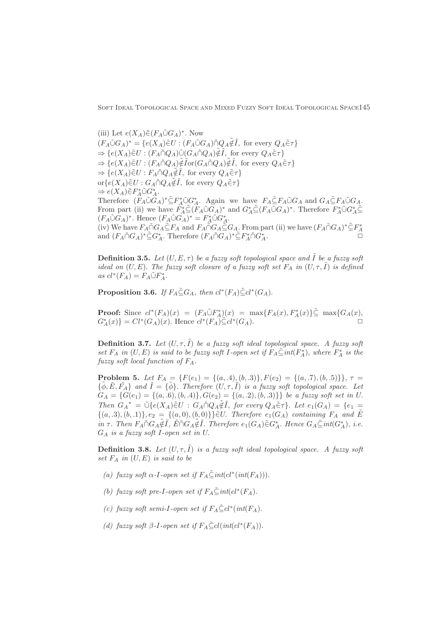(iii) Let  $e(X_A)\tilde{\in} (F_A \tilde{\cup} G_A)^*$ . Now  $(F_A \tilde{\cup} G_A)^* = \{e(X_A)\tilde{\in} U : (F_A \tilde{\cup} G_A)\tilde{\cap} Q_A \tilde{\notin} \tilde{I}, \text{ for every } Q_A \tilde{\in} \tau\}$  $\Rightarrow \{e(X_A)\tilde{\in}U : (F_A \tilde{\cap} Q_A)\tilde{\cup} (G_A \tilde{\cap} Q_A)\tilde{\notin}\tilde{I}, \text{ for every } Q_A \tilde{\in}\tau\}$  $\Rightarrow \{e(X_A)\tilde{\in}U: (F_A \tilde{\cap} Q_A)\tilde{\notin}\tilde{I} \text{or}(G_A \tilde{\cap} Q_A)\tilde{\notin}\tilde{I}, \text{ for every } Q_A \tilde{\in}\tau\}$  $\Rightarrow \{e(X_A)\widetilde{\in} U : F_A \widetilde{\cap} Q_A \widetilde{\notin} \widetilde{I}, \text{ for every } Q_A \widetilde{\in} \tau\}$  $\text{or} \{e(X_A)\tilde{\in}U : G_A \tilde{\cap} Q_A \tilde{\notin} \tilde{I}, \text{ for every } Q_A \tilde{\in} \tau\}$  $\Rightarrow e(X_A) \tilde{\in} F_A^* \tilde{\cup} G_A^*.$ Therefore  $(F_A \tilde{\cup} G_A)^* \tilde{\subseteq} F_A^* \tilde{\cup} G_A^*$ . Again we have  $F_A \tilde{\subseteq} F_A \tilde{\cup} G_A$  and  $G_A \tilde{\subseteq} F_A \tilde{\cup} G_A$ . From part (ii) we have  $F_A^* \tilde{\subseteq} (F_A \tilde{\cup} G_A)^*$  and  $G_A^* \tilde{\subseteq} (F_A \tilde{\cup} G_A)^*$ . Therefore  $F_A^* \tilde{\cup} G_A^* \tilde{\subseteq}$  $(F_A \tilde{\cup} G_A)^*$ . Hence  $(F_A \tilde{\cup} G_A)^* = F_A^* \tilde{\cup} G_A^*$ . (iv) We have  $F_A \tilde{\cap} G_A \tilde{\subseteq} F_A$  and  $F_A \tilde{\cap} G_A \tilde{\subseteq} G_A$ . From part (ii) we have  $(F_A \tilde{\cap} G_A)^* \tilde{\subseteq} F_A^*$ and  $(F_A \tilde{\cap} G_A)^* \tilde{\subseteq} G_A^*$ . Therefore  $(F_A \tilde{\cap} G_A)^* \tilde{\subseteq} F_A^* \tilde{\cap} G_A^*$  $\overset{*}{A}$ .

**Definition 3.5.** Let  $(U, E, \tau)$  be a fuzzy soft topological space and  $\tilde{I}$  be a fuzzy soft ideal on  $(U, E)$ . The fuzzy soft closure of a fuzzy soft set  $F_A$  in  $(U, \tau, \tilde{I})$  is defined as  $cl^*(F_A) = F_A \tilde{\cup} F_A^*$ .

<span id="page-4-0"></span>**Proposition 3.6.** If  $F_A \subseteq G_A$ , then  $cl^*(F_A) \subseteq cl^*(G_A)$ .

**Proof:** Since  $cl^*(F_A)(x) = (F_A \tilde{\cup} F_A^*)(x) = \max\{F_A(x), F_A^*(x)\} \tilde{\subseteq} \max\{G_A(x), F_A^*(x)\}$  $G_A^*(x) = Cl^*(G_A)(x)$ . Hence  $cl^*(F_A) \widetilde{\subseteq} cl^*(G_A)$ .

**Definition 3.7.** Let  $(U, \tau, \tilde{I})$  be a fuzzy soft ideal topological space. A fuzzy soft set  $F_A$  in  $(U, E)$  is said to be fuzzy soft I-open set if  $F_A \subseteq int(F_A^*)$ , where  $F_A^*$  is the fuzzy soft local function of  $F_A$ .

**Problem 5.** Let  $F_A = \{F(e_1) = \{(a, .4), (b, .3)\}, F(e_2) = \{(a, .7), (b, .5)\}\}, \tau =$  ${\{\tilde{\phi}, \tilde{E}, \tilde{F}_A\}}$  and  $\tilde{I} = {\{\tilde{\phi}\}}$ . Therefore  $(U, \tau, \tilde{I})$  is a fuzzy soft topological space. Let  $G_A = \{G(e_1) = \{(a, .6), (b, .4)\}, G(e_2) = \{(a, .2), (b, .3)\}\}\$ be a fuzzy soft set in U. Then  $G_A^* = \tilde{\cup} \{e(X_A)\tilde{\in}U : G_A \tilde{\cap} Q_A \tilde{\notin} \tilde{I}, \text{ for every } Q_A \tilde{\in} \tau\}$ . Let  $e_1(G_A) = \{e_1 =$  $\{(a, .3), (b, .1)\}, e_2 = \{(a, 0), (b, 0)\}\}\$  $\tilde{\in}U$ . Therefore  $e_1(G_A)$  containing  $F_A$  and  $\tilde{E}$ in  $\tau$ . Then  $F_A \cap G_A \tilde{\notin} \tilde{I}$ ,  $\tilde{E} \cap G_A \tilde{\notin} \tilde{I}$ . Therefore  $e_1(G_A) \tilde{\in} G_A^*$ . Hence  $G_A \tilde{\subseteq} int(G_A^*)$ , i.e.  $G_A$  is a fuzzy soft I-open set in U.

**Definition 3.8.** Let  $(U, \tau, I)$  is a fuzzy soft ideal topological space. A fuzzy soft set  $F_A$  in  $(U, E)$  is said to be

- (a) fuzzy soft  $\alpha$ -I-open set if  $F_A \tilde{\subseteq} int(cl^*(int(F_A)))$ .
- (b) fuzzy soft pre-I-open set if  $F_A \tilde{\subseteq} int(cl^*(F_A))$ .
- (c) fuzzy soft semi-I-open set if  $F_A \subseteq cl^*(int(F_A))$ .
- (d) fuzzy soft  $\beta$ -I-open set if  $F_A \tilde{\subseteq} cl(int(cl^*(F_A)).$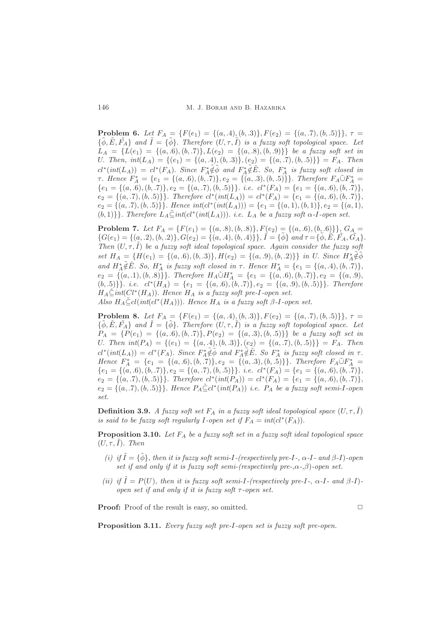**Problem 6.** Let  $F_A = \{F(e_1) = \{(a, 4), (b, 3)\}, F(e_2) = \{(a, 7), (b, 5)\}\}, \tau =$  ${\{\tilde{\phi}, \tilde{E}, \tilde{F}_A\}}$  and  $\tilde{I} = {\{\tilde{\phi}\}}$ . Therefore  $(U, \tau, \tilde{I})$  is a fuzzy soft topological space. Let  $L_A = \{L(e_1) = \{(a, .6), (b, .7)\}, L(e_2) = \{(a, .8), (b, .9)\}\}\$ be a fuzzy soft set in U. Then,  $int(L_A) = \{(e_1) = \{(a, .4), (b, .3)\}, (e_2) = \{(a, .7), (b, .5)\}\} = F_A$ . Then  $cl^*(int(L_A)) = cl^*(F_A)$ . Since  $F_A^* \notin \tilde{\phi}$  and  $F_A^* \notin \tilde{E}$ . So,  $F_A^*$  is fuzzy soft closed in *τ*. Hence  $F_A^* = \{e_1 = \{(a, 6), (b, 7)\}, e_2 = \{(a, 3), (b, 5)\}\}\.$  Therefore  $F_A \tilde{\cup} F_A^* =$  ${e_1 = \{(a, .6), (b, .7)\}, e_2 = \{(a, .7), (b, .5)\}\}.$  i.e.  $cl^*(F_A) = \{e_1 = \{(a, .6), (b, .7)\}\},$  $e_2 = \{(a, .7), (b, .5)\}\}.$  Therefore  $cl^*(int(L_A)) = cl^*(F_A) = \{e_1 = \{(a, .6), (b, .7)\}\}.$  $e_2 = \{(a, .7), (b, .5)\}\}\.$  Hence  $int(cl^*(int(L_A))) = \{e_1 = \{(a, 1), (b, 1)\}, e_2 = \{(a, 1), (b, 2)\}\}.$ (b, 1) }. Therefore  $L_A \subseteq int(cl^*(int(L_A)))$ . i.e.  $L_A$  be a fuzzy soft  $\alpha$ -I-open set.

**Problem 7.** Let  $F_A = \{F(e_1) = \{(a, 8), (b, 8)\}, F(e_2) = \{(a, 6), (b, 6)\}\}, G_A =$  ${G(e_1) = \{(a, .2), (b, .2)\}, G(e_2) = \{(a, .4), (b, .4)\}\}, \tilde{I} = \{\tilde{\phi}\} \text{ and } \tau = \{\tilde{\phi}, \tilde{E}, \tilde{F}_A, \tilde{G}_A\}.}$ Then  $(U, \tau, I)$  be a fuzzy soft ideal topological space. Again consider the fuzzy soft set  $H_A = \{H(e_1) = \{(a, .6), (b, .3)\}, H(e_2) = \{(a, .9), (b, .2)\}\}\$ in U. Since  $H_A^* \tilde{\notin} \tilde{\phi}$ and  $H_A^* \tilde{\notin} \tilde{E}$ . So,  $H_A^*$  is fuzzy soft closed in  $\tau$ . Hence  $H_A^* = \{e_1 = \{(a, .4), (b, .7)\},\}$  $e_2 = \{(a, .1), (b, .8)\}\}.$  Therefore  $H_A \tilde{\cup} H_A^* = \{e_1 = \{(a, .6), (b, .7)\}, e_2 = \{(a, .9),$  $(b, .5)$ }. i.e.  $cl^*(H_A) = \{e_1 = \{(a, .6), (b, .7)\}, e_2 = \{(a, .9), (b, .5)\}\}.$  Therefore  $H_A \leq int(Cl^*(H_A))$ . Hence  $H_A$  is a fuzzy soft pre-I-open set. Also  $H_A \subseteq cl(int(cl^*(H_A)))$ . Hence  $H_A$  is a fuzzy soft  $\beta$ -I-open set.

**Problem 8.** Let  $F_A = \{F(e_1) = \{(a, 4), (b, 3)\}, F(e_2) = \{(a, 7), (b, 5)\}\}, \tau =$  ${\{\tilde{\phi}, \tilde{E}, \tilde{F}_A\}}$  and  $\tilde{I} = {\{\tilde{\phi}\}}$ . Therefore  $(U, \tau, \tilde{I})$  is a fuzzy soft topological space. Let  $P_A = \{P(e_1) = \{(a, .6), (b, .7)\}, P(e_2) = \{(a, .3), (b, .5)\}\}\$ be a fuzzy soft set in U. Then  $int(P_A) = \{(e_1) = \{(a, .4), (b, .3)\}, (e_2) = \{(a, .7), (b, .5)\}\} = F_A$ . Then  $cl^*(int(L_A)) = cl^*(F_A)$ . Since  $F_A^* \tilde{\notin} \tilde{\phi}$  and  $F_A^* \tilde{\notin} \tilde{E}$ . So  $F_A^*$  is fuzzy soft closed in  $\tau$ . Hence  $F_A^* = \{e_1 = \{(a, .6), (b, .7)\}, e_2 = \{(a, .3), (b, .5)\}\}.$  Therefore  $F_A \tilde{\cup} F_A^* =$  ${e_1 = \{(a, .6), (b, .7)\}, e_2 = \{(a, .7), (b, .5)\}\}.$  i.e.  $cl^*(F_A) = \{e_1 = \{(a, .6), (b, .7)\}\},$  $e_2 = \{(a, .7), (b, .5)\}\}.$  Therefore  $cl^*(int(P_A)) = cl^*(F_A) = \{e_1 = \{(a, .6), (b, .7)\}\}.$  $e_2 = \{(a, .7), (b, .5)\}\}.$  Hence  $P_A \leq cl^*(int(P_A))$  i.e.  $P_A$  be a fuzzy soft semi-I-open set.

**Definition 3.9.** A fuzzy soft set  $F_A$  in a fuzzy soft ideal topological space  $(U, \tau, \tilde{I})$ is said to be fuzzy soft regularly I-open set if  $F_A = int(cl^*(F_A)).$ 

**Proposition 3.10.** Let  $F_A$  be a fuzzy soft set in a fuzzy soft ideal topological space  $(U, \tau, I)$ . Then

- (i) if  $\tilde{I} = {\tilde{\phi}}$ , then it is fuzzy soft semi-I-(respectively pre-I-,  $\alpha$ -I- and  $\beta$ -I)-open set if and only if it is fuzzy soft semi-(respectively pre-, $\alpha$ -, $\beta$ )-open set.
- (ii) if  $\tilde{I} = P(U)$ , then it is fuzzy soft semi-I-(respectively pre-I-,  $\alpha$ -I- and  $\beta$ -I)open set if and only if it is fuzzy soft  $\tau$ -open set.

**Proof:** Proof of the result is easy, so omitted.  $\Box$ 

Proposition 3.11. Every fuzzy soft pre-I-open set is fuzzy soft pre-open.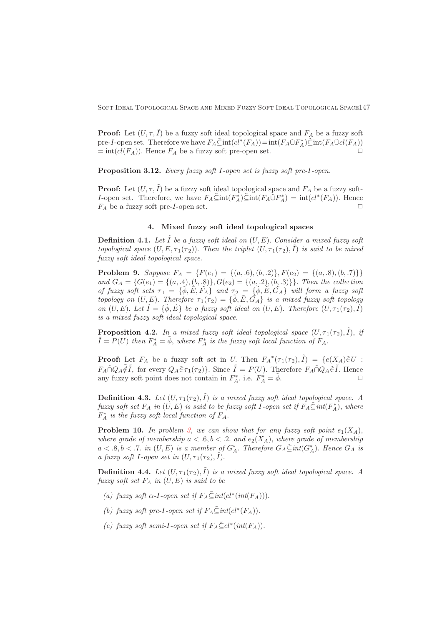**Proof:** Let  $(U, \tau, \tilde{I})$  be a fuzzy soft ideal topological space and  $F_A$  be a fuzzy soft pre-I-open set. Therefore we have  $F_A \tilde{\subseteq} int(cl^*(F_A)) = int(F_A \tilde{\cup} F_A^*) \tilde{\subseteq} int(F_A \tilde{\cup} cl(F_A))$  $= \text{int}(cl(F_A))$ . Hence  $F_A$  be a fuzzy soft pre-open set.

Proposition 3.12. Every fuzzy soft I-open set is fuzzy soft pre-I-open.

**Proof:** Let  $(U, \tau, \tilde{I})$  be a fuzzy soft ideal topological space and  $F_A$  be a fuzzy soft-*I*-open set. Therefore, we have  $F_A \tilde{\subseteq} \text{int}(F_A^*) \tilde{\subseteq} \text{int}(F_A \tilde{\cup} F_A^*) = \text{int}(cl^*(F_A)).$  Hence  $F_A$  be a fuzzy soft pre-*I*-open set.

## 4. Mixed fuzzy soft ideal topological spaces

<span id="page-6-0"></span>**Definition 4.1.** Let  $\tilde{I}$  be a fuzzy soft ideal on  $(U, E)$ . Consider a mixed fuzzy soft topological space  $(U, E, \tau_1(\tau_2))$ . Then the triplet  $(U, \tau_1(\tau_2), \tilde{I})$  is said to be mixed fuzzy soft ideal topological space.

**Problem 9.** Suppose  $F_A = \{F(e_1) = \{(a, .6), (b, .2)\}, F(e_2) = \{(a, .8), (b, .7)\}\}\$ and  $G_A = \{G(e_1) = \{(a, .4), (b, .8)\}, G(e_2) = \{(a, .2), (b, .3)\}\}.$  Then the collection of fuzzy soft sets  $\tau_1 = {\tilde{\phi}, \tilde{E}, \tilde{F}_A}$  and  $\tau_2 = {\tilde{\phi}, \tilde{E}, \tilde{G}_A}$  will form a fuzzy soft topology on  $(U, E)$ . Therefore  $\tau_1(\tau_2) = {\tilde{\phi}, \tilde{E}, \tilde{G}_A}$  is a mixed fuzzy soft topology on  $(U, E)$ . Let  $\tilde{I} = \{\tilde{\phi}, \tilde{E}\}$  be a fuzzy soft ideal on  $(U, E)$ . Therefore  $(U, \tau_1(\tau_2), \tilde{I})$ is a mixed fuzzy soft ideal topological space.

**Proposition 4.2.** In a mixed fuzzy soft ideal topological space  $(U, \tau_1(\tau_2), \tilde{I})$ , if  $\tilde{I} = P(U)$  then  $F_A^* = \tilde{\phi}$ , where  $F_A^*$  is the fuzzy soft local function of  $F_A$ .

**Proof:** Let  $F_A$  be a fuzzy soft set in U. Then  $F_A^*(\tau_1(\tau_2), \tilde{I}) = \{e(X_A)\tilde{\in}U:$  $F_A \tilde{\cap} Q_A \tilde{\notin} \tilde{I}$ , for every  $Q_A \tilde{\in} \tau_1(\tau_2)$ . Since  $\tilde{I} = P(U)$ . Therefore  $F_A \tilde{\cap} Q_A \tilde{\in} \tilde{I}$ . Hence any fuzzy soft point does not contain in  $F_A^*$ . i.e.  $F_A^* = \tilde{\phi}$ .

**Definition 4.3.** Let  $(U, \tau_1(\tau_2), \tilde{I})$  is a mixed fuzzy soft ideal topological space. A fuzzy soft set  $F_A$  in  $(U, E)$  is said to be fuzzy soft I-open set if  $F_A \tilde{\subseteq} int(F_A^*)$ , where  $F_A^*$  is the fuzzy soft local function of  $F_A$ .

**Problem 10.** In problem [3,](#page-3-0) we can show that for any fuzzy soft point  $e_1(X_A)$ , where grade of membership  $a < .6, b < .2$ . and  $e_2(X_A)$ , where grade of membership  $a < .8, b < .7.$  in  $(U, E)$  is a member of  $G_A^*$ . Therefore  $G_A \subseteq int(G_A^*)$ . Hence  $G_A$  is a fuzzy soft I-open set in  $(U, \tau_1(\tau_2), \tilde{I}).$ 

**Definition 4.4.** Let  $(U, \tau_1(\tau_2), \tilde{I})$  is a mixed fuzzy soft ideal topological space. A fuzzy soft set  $F_A$  in  $(U, E)$  is said to be

- (a) fuzzy soft  $\alpha$ -I-open set if  $F_A \tilde{\subseteq} int(cl^*(int(F_A))).$
- (b) fuzzy soft pre-I-open set if  $F_A \tilde{\subseteq} int(cl^*(F_A)).$
- (c) fuzzy soft semi-I-open set if  $F_A \tilde{\subseteq} cl^*(int(F_A)).$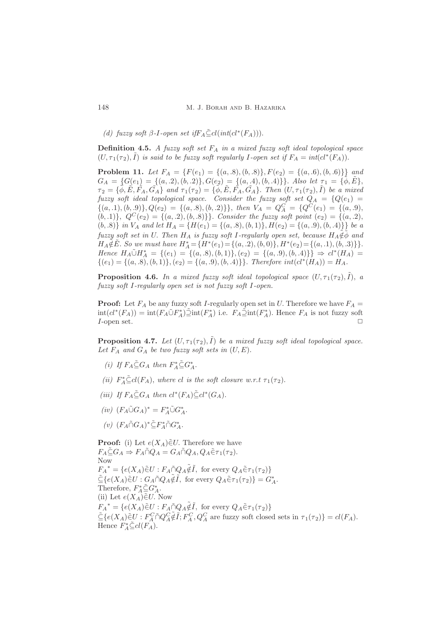(d) fuzzy soft  $\beta$ -I-open set if  $F_A \leq cl(int(cl^*(F_A)))$ .

**Definition 4.5.** A fuzzy soft set  $F_A$  in a mixed fuzzy soft ideal topological space  $(U, \tau_1(\tau_2), \tilde{I})$  is said to be fuzzy soft regularly I-open set if  $F_A = int(cl^*(F_A)).$ 

**Problem 11.** Let  $F_A = \{F(e_1) = \{(a, .8), (b, .8)\}, F(e_2) = \{(a, .6), (b, .6)\}\}\$ and  $G_A = \{G(e_1) = \{(a, 2), (b, 2)\}, G(e_2) = \{(a, 4), (b, 4)\}\}.$  Also let  $\tau_1 = \{\phi, E\},$  $\tau_2 = \{\tilde{\phi}, \tilde{E}, \tilde{F_A}, \tilde{G_A}\}$  and  $\tau_1(\tau_2) = \{\tilde{\phi}, \tilde{E}, \tilde{F_A}, \tilde{G_A}\}$ . Then  $(U, \tau_1(\tau_2), \tilde{I})$  be a mixed fuzzy soft ideal topological space. Consider the fuzzy soft set  $Q_A = \{Q(e_1) =$  $\{(a, .1), (b, .9)\}, Q(e_2) = \{(a, .8), (b, .2)\}\},\$  then  $V_A = Q_A^C = \{Q^C(e_1) = \{(a, .9),$  $(b, 1)$ ,  $Q^{C}(e_2) = \{(a, 2), (b, 8)\}\}.$  Consider the fuzzy soft point  $(e_2) = \{(a, 2),$ (b, 8)} in  $V_A$  and let  $H_A = \{H(e_1) = \{(a, .8), (b, 1)\}, H(e_2) = \{(a, .9), (b, .4)\}\}\$ be a fuzzy soft set in U. Then  $H_A$  is fuzzy soft I-regularly open set, because  $H_A\tilde{\notin}\tilde{\phi}$  and  $H_A \tilde{\notin} \tilde{E}$ . So we must have  $H_A^* = {H^*(e_1) = \{(a, .2), (b, 0)\}, H^*(e_2) = \{(a, .1), (b, .3)\}}.$ Hence  $H_A \tilde{\cup} H_A^* = \{(e_1) = \{(a, .8), (b, 1)\}, (e_2) = \{(a, .9), (b, .4)\}\} \Rightarrow cl^*(H_A) =$  $\{(e_1) = \{(a, .8), (b, 1)\}, (e_2) = \{(a, .9), (b, .4)\}\}.$  Therefore  $int(cl^*(H_A)) = H_A$ .

**Proposition 4.6.** In a mixed fuzzy soft ideal topological space  $(U, \tau_1(\tau_2), \tilde{I})$ , a fuzzy soft I-regularly open set is not fuzzy soft I-open.

**Proof:** Let  $F_A$  be any fuzzy soft I-regularly open set in U. Therefore we have  $F_A$  =  $\text{int}(cl^*(F_A)) = \text{int}(F_A \tilde{\cup} F_A^*) \tilde{\supset} \text{int}(F_A^*)$  i.e.  $F_A \tilde{\supset} \text{int}(F_A^*)$ . Hence  $F_A$  is not fuzzy soft  $I$ -open set.  $\Box$ 

**Proposition 4.7.** Let  $(U, \tau_1(\tau_2), \tilde{I})$  be a mixed fuzzy soft ideal topological space. Let  $F_A$  and  $G_A$  be two fuzzy soft sets in  $(U, E)$ .

- (i) If  $F_A \tilde{\subseteq} G_A$  then  $F_A^* \tilde{\subseteq} G_A^*$ .
- (ii)  $F_A^* \tilde{\subseteq} cl(F_A)$ , where cl is the soft closure w.r.t  $\tau_1(\tau_2)$ .
- (iii) If  $F_A \tilde{\subseteq} G_A$  then  $cl^*(F_A) \tilde{\subseteq} cl^*(G_A)$ .
- $(iv)$   $(F_A \tilde{\cup} G_A)^* = F_A^* \tilde{\cup} G_A^*.$
- (v)  $(F_A \tilde{\cap} G_A)^* \tilde{\subseteq} F_A^* \tilde{\cap} G_A^*.$

**Proof:** (i) Let  $e(X_A) \in U$ . Therefore we have  $F_A \tilde{\subseteq} G_A \Rightarrow F_A \tilde{\cap} Q_A = G_A \tilde{\cap} Q_A, Q_A \tilde{\in} \tau_1(\tau_2).$ Now  $F_A^* = \{e(X_A)\tilde{\in}U : F_A \tilde{\cap} Q_A \tilde{\notin} \tilde{I}, \text{ for every } Q_A \tilde{\in} \tau_1(\tau_2)\}\$  $\tilde{\subseteq} \{e(X_A)\tilde{\in}U: G_A \tilde{\cap} Q_A \tilde{\notin} \tilde{I}, \text{ for every } Q_A \tilde{\in} \tau_1(\tau_2)\} = G_A^*$ . Therefore,  $F_A^* \tilde{\subseteq} G_A^*$ . (ii) Let  $e(X_A) \in U$ . Now  $F_A^* = \{e(X_A)\tilde{\in}U : F_A\tilde{\cap}Q_A\tilde{\notin}\tilde{I}, \text{ for every }Q_A\tilde{\in}\tau_1(\tau_2)\}\$  $\tilde{\subseteq} \{e(X_A)\tilde{\in}U : F_A^C \cap Q_A^C \tilde{\notin} \tilde{I}; F_A^C, Q_A^C \text{ are fuzzy soft closed sets in } \tau_1(\tau_2)\} = cl(F_A).$ Hence  $F_A^* \tilde{\subseteq} cl(F_A)$ .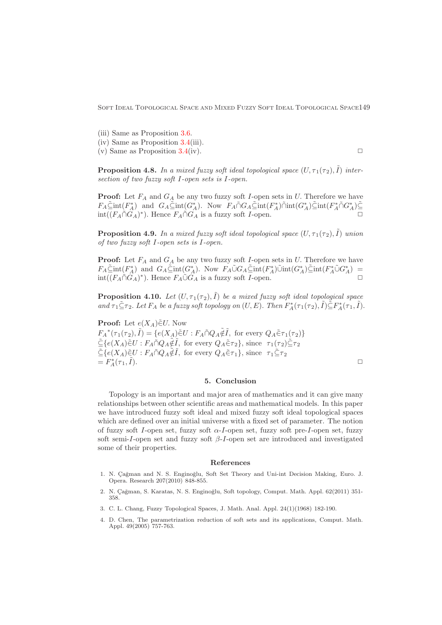(iii) Same as Proposition [3.6.](#page-4-0)

(iv) Same as Proposition [3.4\(](#page-3-1)iii). (v) Same as Proposition  $3.4$ (iv).

**Proposition 4.8.** In a mixed fuzzy soft ideal topological space  $(U, \tau_1(\tau_2), \tilde{I})$  intersection of two fuzzy soft I-open sets is I-open.

**Proof:** Let  $F_A$  and  $G_A$  be any two fuzzy soft I-open sets in U. Therefore we have  $F_A \tilde{\subseteq} int(F_A^*)$  and  $G_A \tilde{\subseteq} int(G_A^*)$ . Now  $F_A \tilde{\cap} G_A \tilde{\subseteq} int(F_A^*) \tilde{\cap} int(G_A^*) \tilde{\subseteq} int(F_A^* \tilde{\cap} G_A^*) \tilde{\subseteq}$  $int((F_A \tilde{\cap} G_A)^*)$ . Hence  $F_A \tilde{\cap} G_A$  is a fuzzy soft *I*-open.  $\square$ 

**Proposition 4.9.** In a mixed fuzzy soft ideal topological space  $(U, \tau_1(\tau_2), \tilde{I})$  union of two fuzzy soft I-open sets is I-open.

**Proof:** Let  $F_A$  and  $G_A$  be any two fuzzy soft I-open sets in U. Therefore we have  $F_A\tilde{\subseteq}int(F_A^*)$  and  $G_A\tilde{\subseteq}int(G_A^*)$ . Now  $F_A\tilde{\cup}G_A\tilde{\subseteq}int(F_A^*)\tilde{\cup}int(G_A^*)\tilde{\subseteq}int(F_A^*\tilde{\cup}G_A^*)$  $int((F_A \tilde{\cap} G_A)^*)$ . Hence  $F_A \tilde{\cup} G_A$  is a fuzzy soft *I*-open.

**Proposition 4.10.** Let  $(U, \tau_1(\tau_2), \tilde{I})$  be a mixed fuzzy soft ideal topological space and  $\tau_1 \leq \tau_2$ . Let  $F_A$  be a fuzzy soft topology on  $(U, E)$ . Then  $F_A^*(\tau_1(\tau_2), \tilde{I}) \leq F_A^*(\tau_1, \tilde{I})$ .

**Proof:** Let  $e(X_A) \in U$ . Now  $F_A^*(\tau_1(\tau_2), \tilde{I}) = \{e(X_A)\tilde{\in}U : F_A \tilde{\cap} Q_A \tilde{\notin} \tilde{I}, \text{ for every } Q_A \tilde{\in} \tau_1(\tau_2)\}\$  $\tilde{\subseteq} \{e(X_A)\tilde{\in}U: F_A \tilde{\cap} Q_A \tilde{\notin} \tilde{I}, \text{ for every } Q_A \tilde{\in} \tau_2\}, \text{ since } \tau_1(\tau_2) \tilde{\subseteq} \tau_2$  $\tilde{\subseteq} \{e(X_A)\tilde{\in}U : F_A \tilde{\cap} Q_A \tilde{\notin} \tilde{I}, \text{ for every } Q_A \tilde{\in} \tau_1\}, \text{ since } \tau_1 \tilde{\subseteq} \tau_2$  $= F_A^*(\tau_1,$  $\tilde{I}$ ).

#### 5. Conclusion

<span id="page-8-1"></span>Topology is an important and major area of mathematics and it can give many relationships between other scientific areas and mathematical models. In this paper we have introduced fuzzy soft ideal and mixed fuzzy soft ideal topological spaces which are defined over an initial universe with a fixed set of parameter. The notion of fuzzy soft I-open set, fuzzy soft  $\alpha$ -I-open set, fuzzy soft pre-I-open set, fuzzy soft semi-I-open set and fuzzy soft  $\beta$ -I-open set are introduced and investigated some of their properties.

#### <span id="page-8-0"></span>References

- <span id="page-8-2"></span>1. N. Çağman and N. S. Enginoğlu, Soft Set Theory and Uni-int Decision Making, Euro. J. Opera. Research 207(2010) 848-855.
- <span id="page-8-5"></span>2. N. Çağman, S. Karatas, N. S. Enginoğlu, Soft topology, Comput. Math. Appl. 62(2011) 351-358.
- <span id="page-8-4"></span><span id="page-8-3"></span>3. C. L. Chang, Fuzzy Topological Spaces, J. Math. Anal. Appl. 24(1)(1968) 182-190.
- 4. D. Chen, The parametrization reduction of soft sets and its applications, Comput. Math. Appl. 49(2005) 757-763.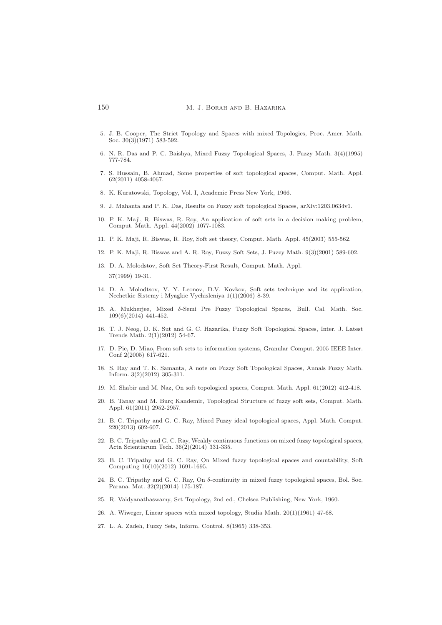- <span id="page-9-2"></span>5. J. B. Cooper, The Strict Topology and Spaces with mixed Topologies, Proc. Amer. Math. Soc.  $30(3)(1971)$  583-592.
- <span id="page-9-16"></span><span id="page-9-3"></span>6. N. R. Das and P. C. Baishya, Mixed Fuzzy Topological Spaces, J. Fuzzy Math. 3(4)(1995) 777-784.
- 7. S. Hussain, B. Ahmad, Some properties of soft topological spaces, Comput. Math. Appl. 62(2011) 4058-4067.
- <span id="page-9-19"></span><span id="page-9-0"></span>8. K. Kuratowski, Topology, Vol. I, Academic Press New York, 1966.
- <span id="page-9-13"></span>9. J. Mahanta and P. K. Das, Results on Fuzzy soft topological Spaces, arXiv:1203.0634v1.
- 10. P. K. Maji, R. Biswas, R. Roy, An application of soft sets in a decision making problem, Comput. Math. Appl. 44(2002) 1077-1083.
- <span id="page-9-22"></span><span id="page-9-14"></span>11. P. K. Maji, R. Biswas, R. Roy, Soft set theory, Comput. Math. Appl. 45(2003) 555-562.
- <span id="page-9-11"></span>12. P. K. Maji, R. Biswas and A. R. Roy, Fuzzy Soft Sets, J. Fuzzy Math. 9(3)(2001) 589-602.
- 13. D. A. Molodstov, Soft Set Theory-First Result, Comput. Math. Appl. 37(1999) 19-31.
- <span id="page-9-12"></span>14. D. A. Molodtsov, V. Y. Leonov, D.V. Kovkov, Soft sets technique and its application, Nechetkie Sistemy i Myagkie Vychisleniya 1(1)(2006) 8-39.
- <span id="page-9-9"></span>15. A. Mukherjee, Mixed δ-Semi Pre Fuzzy Topological Spaces, Bull. Cal. Math. Soc. 109(6)(2014) 441-452.
- <span id="page-9-20"></span>16. T. J. Neog, D. K. Sut and G. C. Hazarika, Fuzzy Soft Topological Spaces, Inter. J. Latest Trends Math. 2(1)(2012) 54-67.
- <span id="page-9-15"></span>17. D. Pie, D. Miao, From soft sets to information systems, Granular Comput. 2005 IEEE Inter. Conf 2(2005) 617-621.
- <span id="page-9-21"></span>18. S. Ray and T. K. Samanta, A note on Fuzzy Soft Topological Spaces, Annals Fuzzy Math. Inform. 3(2)(2012) 305-311.
- <span id="page-9-18"></span><span id="page-9-17"></span>19. M. Shabir and M. Naz, On soft topological spaces, Comput. Math. Appl. 61(2012) 412-418.
- 20. B. Tanay and M. Burç Kandemir, Topological Structure of fuzzy soft sets, Comput. Math. Appl. 61(2011) 2952-2957.
- <span id="page-9-4"></span>21. B. C. Tripathy and G. C. Ray, Mixed Fuzzy ideal topological spaces, Appl. Math. Comput.  $220(2013)$  602-607.
- <span id="page-9-5"></span>22. B. C. Tripathy and G. C. Ray, Weakly continuous functions on mixed fuzzy topological spaces, Acta Scientiarum Tech. 36(2)(2014) 331-335.
- <span id="page-9-6"></span>23. B. C. Tripathy and G. C. Ray, On Mixed fuzzy topological spaces and countability, Soft Computing 16(10)(2012) 1691-1695.
- <span id="page-9-7"></span>24. B. C. Tripathy and G. C. Ray, On δ-continuity in mixed fuzzy topological spaces, Bol. Soc. Parana. Mat. 32(2)(2014) 175-187.
- <span id="page-9-8"></span><span id="page-9-1"></span>25. R. Vaidyanathaswamy, Set Topology, 2nd ed., Chelsea Publishing, New York, 1960.
- <span id="page-9-10"></span>26. A. Wiweger, Linear spaces with mixed topology, Studia Math. 20(1)(1961) 47-68.
- 27. L. A. Zadeh, Fuzzy Sets, Inform. Control. 8(1965) 338-353.